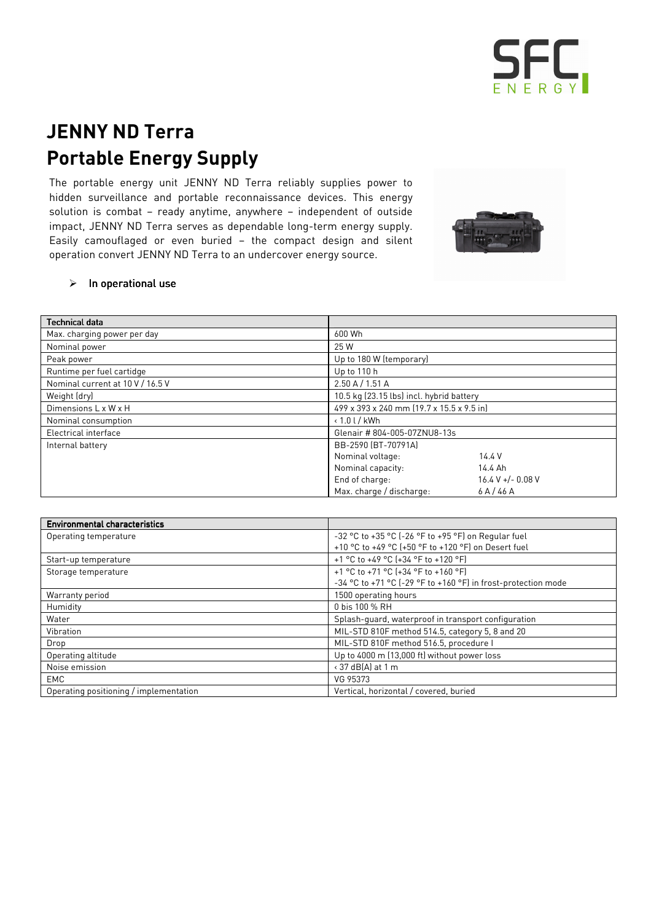

## JENNY ND Terra Portable Energy Supply

The portable energy unit JENNY ND Terra reliably supplies power to hidden surveillance and portable reconnaissance devices. This energy solution is combat – ready anytime, anywhere – independent of outside impact, JENNY ND Terra serves as dependable long-term energy supply. Easily camouflaged or even buried – the compact design and silent operation convert JENNY ND Terra to an undercover energy source.



## $\triangleright$  In operational use

| <b>Technical data</b>            |                                           |                     |  |
|----------------------------------|-------------------------------------------|---------------------|--|
| Max. charging power per day      | 600 Wh                                    |                     |  |
| Nominal power                    | 25 W                                      |                     |  |
| Peak power                       | Up to 180 W (temporary)                   |                     |  |
| Runtime per fuel cartidge        | Up to 110 h                               |                     |  |
| Nominal current at 10 V / 16.5 V | 2.50 A / 1.51 A                           |                     |  |
| Weight (dry)                     | 10.5 kg (23.15 lbs) incl. hybrid battery  |                     |  |
| Dimensions L x W x H             | 499 x 393 x 240 mm (19.7 x 15.5 x 9.5 in) |                     |  |
| Nominal consumption              | $\cdot$ 1.0 l / kWh                       |                     |  |
| Electrical interface             | Glenair #804-005-07ZNU8-13s               |                     |  |
| Internal battery                 | BB-2590 (BT-70791A)                       |                     |  |
|                                  | Nominal voltage:                          | 14.4 V              |  |
|                                  | Nominal capacity:                         | 14.4 Ah             |  |
|                                  | End of charge:                            | $16.4 V + - 0.08 V$ |  |
|                                  | Max. charge / discharge:                  | 6A/46A              |  |

| <b>Environmental characteristics</b>   |                                                               |  |
|----------------------------------------|---------------------------------------------------------------|--|
| Operating temperature                  | -32 °C to +35 °C (-26 °F to +95 °F) on Regular fuel           |  |
|                                        | +10 °C to +49 °C (+50 °F to +120 °F) on Desert fuel           |  |
| Start-up temperature                   | +1 °C to +49 °C (+34 °F to +120 °F)                           |  |
| Storage temperature                    | +1 °C to +71 °C (+34 °F to +160 °F)                           |  |
|                                        | -34 °C to +71 °C (-29 °F to +160 °F) in frost-protection mode |  |
| Warranty period                        | 1500 operating hours                                          |  |
| Humidity                               | 0 bis 100 % RH                                                |  |
| Water                                  | Splash-quard, waterproof in transport configuration           |  |
| Vibration                              | MIL-STD 810F method 514.5, category 5, 8 and 20               |  |
| Drop                                   | MIL-STD 810F method 516.5, procedure I                        |  |
| Operating altitude                     | Up to 4000 m (13,000 ft) without power loss                   |  |
| Noise emission                         | < 37 dB(A) at 1 m                                             |  |
| EMC                                    | VG 95373                                                      |  |
| Operating positioning / implementation | Vertical, horizontal / covered, buried                        |  |